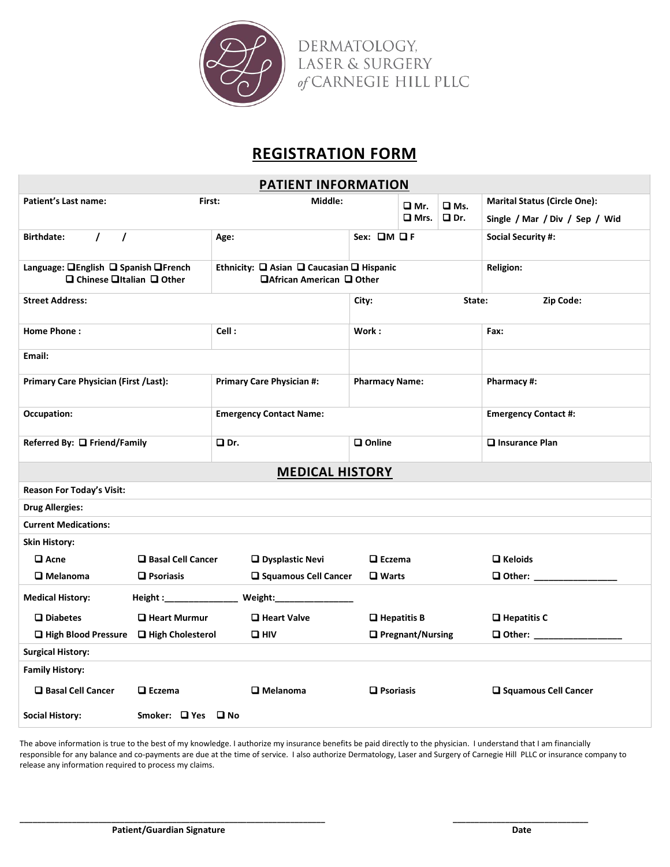

## **REGISTRATION FORM**

| <b>PATIENT INFORMATION</b>                                                                         |                                |                                                                         |                              |                              |               |                                     |  |  |
|----------------------------------------------------------------------------------------------------|--------------------------------|-------------------------------------------------------------------------|------------------------------|------------------------------|---------------|-------------------------------------|--|--|
| Patient's Last name:<br>First:                                                                     |                                | Middle:                                                                 |                              | ❏ Mr.                        | $\square$ Ms. | <b>Marital Status (Circle One):</b> |  |  |
|                                                                                                    |                                |                                                                         |                              | $\square$ Mrs.<br>$\Box$ Dr. |               | Single / Mar / Div / Sep / Wid      |  |  |
| $\prime$<br>$\prime$<br><b>Birthdate:</b>                                                          |                                | Age:                                                                    | Sex: $QM$ $QF$               |                              |               | <b>Social Security #:</b>           |  |  |
| Language: <b>QEnglish Q Spanish QFrench</b><br>$\square$ Chinese $\square$ Italian $\square$ Other |                                | Ethnicity: Q Asian Q Caucasian Q Hispanic<br>□ African American □ Other | <b>Religion:</b>             |                              |               |                                     |  |  |
| <b>Street Address:</b>                                                                             |                                |                                                                         | Zip Code:<br>State:<br>City: |                              |               |                                     |  |  |
| <b>Home Phone:</b>                                                                                 |                                | Cell:                                                                   | Work:                        |                              |               | Fax:                                |  |  |
| Email:                                                                                             |                                |                                                                         |                              |                              |               |                                     |  |  |
| Primary Care Physician (First /Last):                                                              |                                | <b>Primary Care Physician #:</b>                                        | <b>Pharmacy Name:</b>        |                              |               | Pharmacy #:                         |  |  |
| Occupation:                                                                                        | <b>Emergency Contact Name:</b> |                                                                         |                              |                              |               | <b>Emergency Contact #:</b>         |  |  |
| Referred By: □ Friend/Family                                                                       |                                | O Dr.                                                                   | $\square$ Online             |                              |               | $\Box$ Insurance Plan               |  |  |
| <b>MEDICAL HISTORY</b>                                                                             |                                |                                                                         |                              |                              |               |                                     |  |  |
| <b>Reason For Today's Visit:</b>                                                                   |                                |                                                                         |                              |                              |               |                                     |  |  |
| <b>Drug Allergies:</b>                                                                             |                                |                                                                         |                              |                              |               |                                     |  |  |
| <b>Current Medications:</b>                                                                        |                                |                                                                         |                              |                              |               |                                     |  |  |
| <b>Skin History:</b>                                                                               |                                |                                                                         |                              |                              |               |                                     |  |  |
| $\square$ Acne                                                                                     | □ Basal Cell Cancer            | <b>Q</b> Dysplastic Nevi                                                |                              | $\square$ Eczema             |               | $\Box$ Keloids                      |  |  |
| $\square$ Melanoma                                                                                 | <b>□</b> Psoriasis             | □ Squamous Cell Cancer                                                  | $\square$ Warts              |                              |               | Other: _________                    |  |  |
| <b>Medical History:</b>                                                                            | Height :________________       |                                                                         |                              |                              |               |                                     |  |  |
| $\square$ Diabetes                                                                                 | <b>Q</b> Heart Murmur          | Heart Valve                                                             |                              | $\Box$ Hepatitis B           |               | $\Box$ Hepatitis C                  |  |  |
| High Blood Pressure                                                                                | High Cholesterol               | $\square$ HIV                                                           |                              | □ Pregnant/Nursing           |               | □ Other: ________________           |  |  |
| <b>Surgical History:</b>                                                                           |                                |                                                                         |                              |                              |               |                                     |  |  |
| <b>Family History:</b>                                                                             |                                |                                                                         |                              |                              |               |                                     |  |  |
| □ Basal Cell Cancer                                                                                | $\square$ Eczema               | $\square$ Melanoma                                                      | $\Box$ Psoriasis             |                              |               | □ Squamous Cell Cancer              |  |  |
| <b>Social History:</b>                                                                             | Smoker: $\Box$ Yes $\Box$ No   |                                                                         |                              |                              |               |                                     |  |  |

The above information is true to the best of my knowledge. I authorize my insurance benefits be paid directly to the physician. I understand that I am financially responsible for any balance and co-payments are due at the time of service. I also authorize Dermatology, Laser and Surgery of Carnegie Hill PLLC or insurance company to release any information required to process my claims.

**\_\_\_\_\_\_\_\_\_\_\_\_\_\_\_\_\_\_\_\_\_\_\_\_\_\_\_\_\_\_\_\_\_\_\_\_\_\_\_\_\_\_\_\_\_\_\_\_\_\_\_\_\_\_\_\_\_\_\_\_\_\_\_\_\_\_\_\_\_\_ \_\_\_\_\_\_\_\_\_\_\_\_\_\_\_\_\_\_\_\_\_\_\_\_\_\_\_\_\_\_\_**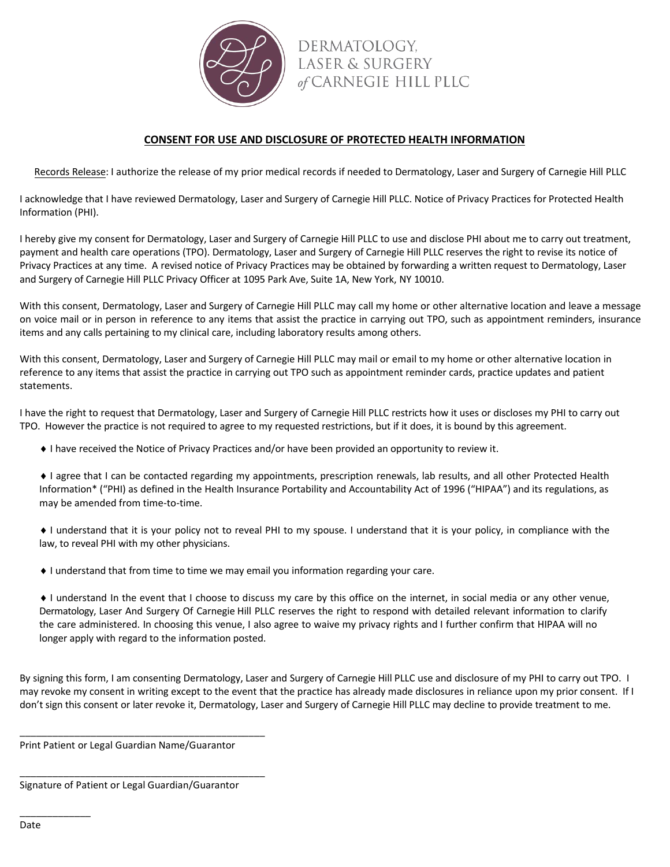

DERMATOLOGY, **LASER & SURGERY** of CARNEGIE HILL PLLC

## **CONSENT FOR USE AND DISCLOSURE OF PROTECTED HEALTH INFORMATION**

Records Release: I authorize the release of my prior medical records if needed to Dermatology, Laser and Surgery of Carnegie Hill PLLC

I acknowledge that I have reviewed Dermatology, Laser and Surgery of Carnegie Hill PLLC. Notice of Privacy Practices for Protected Health Information (PHI).

I hereby give my consent for Dermatology, Laser and Surgery of Carnegie Hill PLLC to use and disclose PHI about me to carry out treatment, payment and health care operations (TPO). Dermatology, Laser and Surgery of Carnegie Hill PLLC reserves the right to revise its notice of Privacy Practices at any time. A revised notice of Privacy Practices may be obtained by forwarding a written request to Dermatology, Laser and Surgery of Carnegie Hill PLLC Privacy Officer at 1095 Park Ave, Suite 1A, New York, NY 10010.

With this consent, Dermatology, Laser and Surgery of Carnegie Hill PLLC may call my home or other alternative location and leave a message on voice mail or in person in reference to any items that assist the practice in carrying out TPO, such as appointment reminders, insurance items and any calls pertaining to my clinical care, including laboratory results among others.

With this consent, Dermatology, Laser and Surgery of Carnegie Hill PLLC may mail or email to my home or other alternative location in reference to any items that assist the practice in carrying out TPO such as appointment reminder cards, practice updates and patient statements.

I have the right to request that Dermatology, Laser and Surgery of Carnegie Hill PLLC restricts how it uses or discloses my PHI to carry out TPO. However the practice is not required to agree to my requested restrictions, but if it does, it is bound by this agreement.

♦ I have received the Notice of Privacy Practices and/or have been provided an opportunity to review it.

♦ I agree that I can be contacted regarding my appointments, prescription renewals, lab results, and all other Protected Health Information\* ("PHI) as defined in the Health Insurance Portability and Accountability Act of 1996 ("HIPAA") and its regulations, as may be amended from time-to-time.

♦ I understand that it is your policy not to reveal PHI to my spouse. I understand that it is your policy, in compliance with the law, to reveal PHI with my other physicians.

♦ I understand that from time to time we may email you information regarding your care.

♦ I understand In the event that I choose to discuss my care by this office on the internet, in social media or any other venue, Dermatology, Laser And Surgery Of Carnegie Hill PLLC reserves the right to respond with detailed relevant information to clarify the care administered. In choosing this venue, I also agree to waive my privacy rights and I further confirm that HIPAA will no longer apply with regard to the information posted.

By signing this form, I am consenting Dermatology, Laser and Surgery of Carnegie Hill PLLC use and disclosure of my PHI to carry out TPO. I may revoke my consent in writing except to the event that the practice has already made disclosures in reliance upon my prior consent. If I don't sign this consent or later revoke it, Dermatology, Laser and Surgery of Carnegie Hill PLLC may decline to provide treatment to me.

Print Patient or Legal Guardian Name/Guarantor

\_\_\_\_\_\_\_\_\_\_\_\_\_\_\_\_\_\_\_\_\_\_\_\_\_\_\_\_\_\_\_\_\_\_\_\_\_\_\_\_\_\_\_\_\_

\_\_\_\_\_\_\_\_\_\_\_\_\_\_\_\_\_\_\_\_\_\_\_\_\_\_\_\_\_\_\_\_\_\_\_\_\_\_\_\_\_\_\_\_\_

Signature of Patient or Legal Guardian/Guarantor

\_\_\_\_\_\_\_\_\_\_\_\_\_